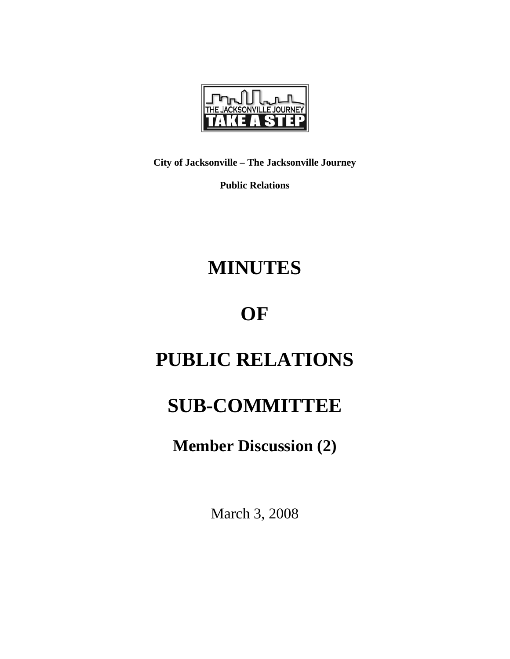

**City of Jacksonville – The Jacksonville Journey** 

**Public Relations** 

# **MINUTES**

## **OF**

# **PUBLIC RELATIONS**

### **SUB-COMMITTEE**

**Member Discussion (2)** 

March 3, 2008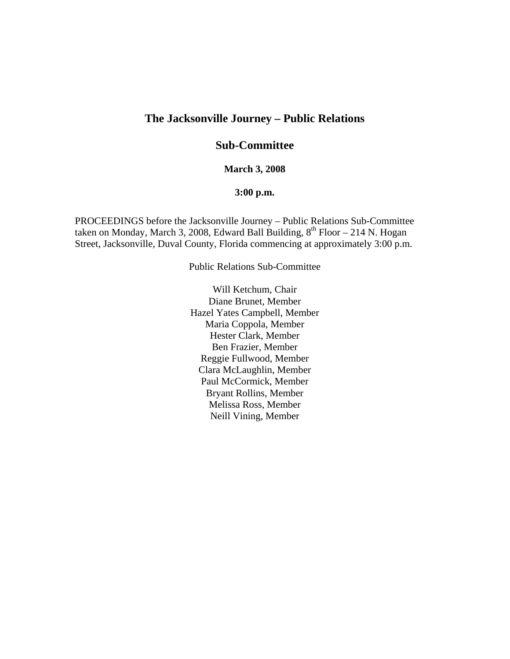### **The Jacksonville Journey – Public Relations**

### **Sub-Committee**

#### **March 3, 2008**

#### **3:00 p.m.**

PROCEEDINGS before the Jacksonville Journey – Public Relations Sub-Committee taken on Monday, March 3, 2008, Edward Ball Building,  $8^{th}$  Floor – 214 N. Hogan Street, Jacksonville, Duval County, Florida commencing at approximately 3:00 p.m.

Public Relations Sub-Committee

Will Ketchum, Chair Diane Brunet, Member Hazel Yates Campbell, Member Maria Coppola, Member Hester Clark, Member Ben Frazier, Member Reggie Fullwood, Member Clara McLaughlin, Member Paul McCormick, Member Bryant Rollins, Member Melissa Ross, Member Neill Vining, Member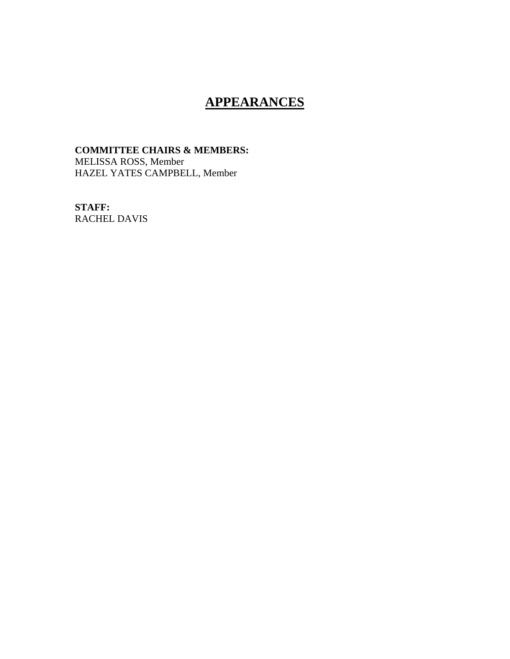### **APPEARANCES**

#### **COMMITTEE CHAIRS & MEMBERS:**  MELISSA ROSS, Member HAZEL YATES CAMPBELL, Member

**STAFF:**  RACHEL DAVIS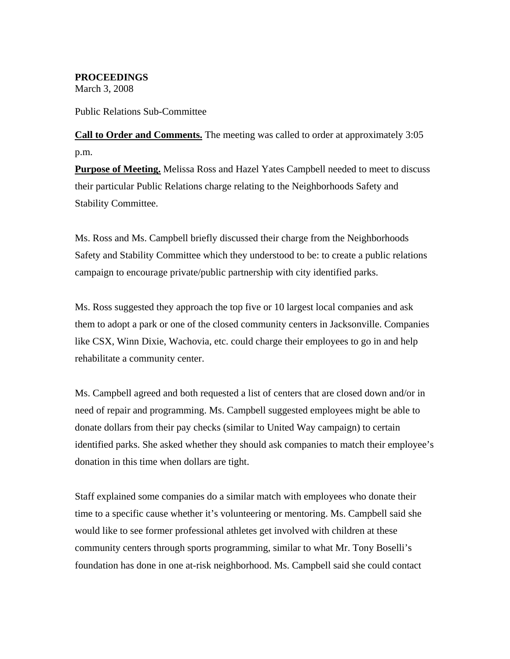**PROCEEDINGS**  March 3, 2008

Public Relations Sub-Committee

**Call to Order and Comments.** The meeting was called to order at approximately 3:05 p.m.

**Purpose of Meeting.** Melissa Ross and Hazel Yates Campbell needed to meet to discuss their particular Public Relations charge relating to the Neighborhoods Safety and Stability Committee.

Ms. Ross and Ms. Campbell briefly discussed their charge from the Neighborhoods Safety and Stability Committee which they understood to be: to create a public relations campaign to encourage private/public partnership with city identified parks.

Ms. Ross suggested they approach the top five or 10 largest local companies and ask them to adopt a park or one of the closed community centers in Jacksonville. Companies like CSX, Winn Dixie, Wachovia, etc. could charge their employees to go in and help rehabilitate a community center.

Ms. Campbell agreed and both requested a list of centers that are closed down and/or in need of repair and programming. Ms. Campbell suggested employees might be able to donate dollars from their pay checks (similar to United Way campaign) to certain identified parks. She asked whether they should ask companies to match their employee's donation in this time when dollars are tight.

Staff explained some companies do a similar match with employees who donate their time to a specific cause whether it's volunteering or mentoring. Ms. Campbell said she would like to see former professional athletes get involved with children at these community centers through sports programming, similar to what Mr. Tony Boselli's foundation has done in one at-risk neighborhood. Ms. Campbell said she could contact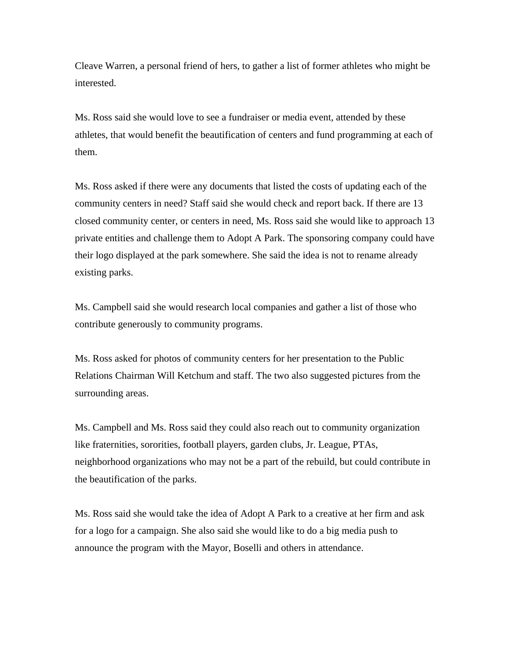Cleave Warren, a personal friend of hers, to gather a list of former athletes who might be interested.

Ms. Ross said she would love to see a fundraiser or media event, attended by these athletes, that would benefit the beautification of centers and fund programming at each of them.

Ms. Ross asked if there were any documents that listed the costs of updating each of the community centers in need? Staff said she would check and report back. If there are 13 closed community center, or centers in need, Ms. Ross said she would like to approach 13 private entities and challenge them to Adopt A Park. The sponsoring company could have their logo displayed at the park somewhere. She said the idea is not to rename already existing parks.

Ms. Campbell said she would research local companies and gather a list of those who contribute generously to community programs.

Ms. Ross asked for photos of community centers for her presentation to the Public Relations Chairman Will Ketchum and staff. The two also suggested pictures from the surrounding areas.

Ms. Campbell and Ms. Ross said they could also reach out to community organization like fraternities, sororities, football players, garden clubs, Jr. League, PTAs, neighborhood organizations who may not be a part of the rebuild, but could contribute in the beautification of the parks.

Ms. Ross said she would take the idea of Adopt A Park to a creative at her firm and ask for a logo for a campaign. She also said she would like to do a big media push to announce the program with the Mayor, Boselli and others in attendance.